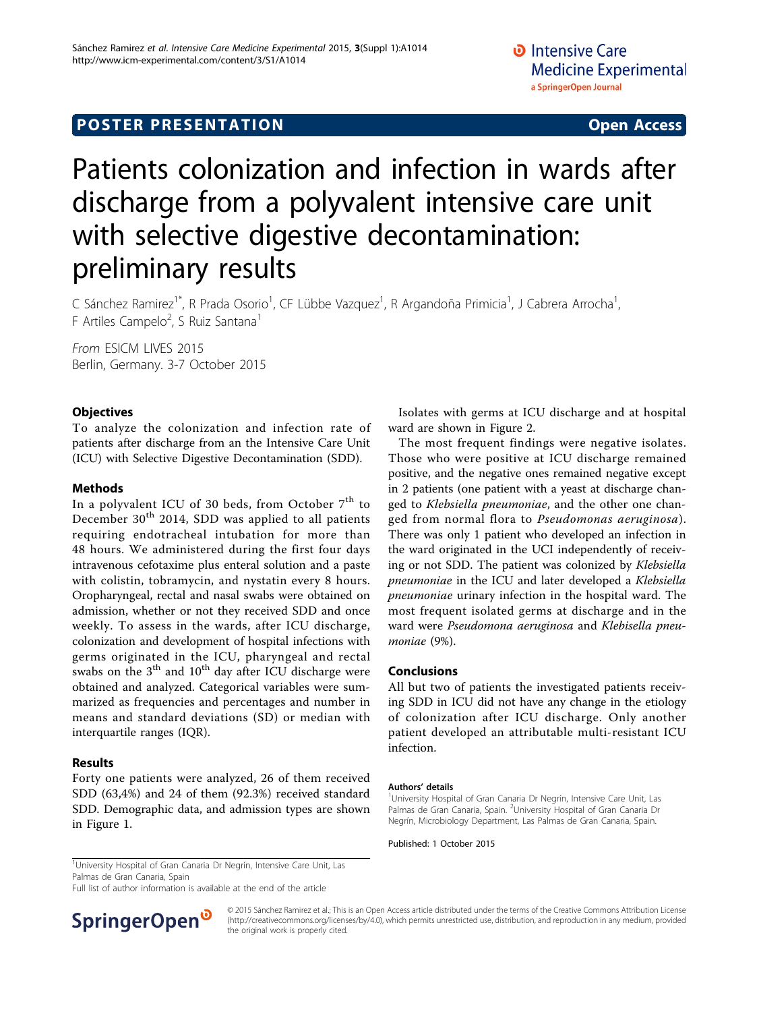## **POSTER PRESENTATION CONSUMING ACCESS**

# Patients colonization and infection in wards after discharge from a polyvalent intensive care unit with selective digestive decontamination: preliminary results

C Sánchez Ramirez<sup>1\*</sup>, R Prada Osorio<sup>1</sup>, CF Lübbe Vazquez<sup>1</sup>, R Argandoña Primicia<sup>1</sup>, J Cabrera Arrocha<sup>1</sup> , F Artiles Campelo<sup>2</sup>, S Ruiz Santana<sup>1</sup>

From ESICM LIVES 2015 Berlin, Germany. 3-7 October 2015

### **Objectives**

To analyze the colonization and infection rate of patients after discharge from an the Intensive Care Unit (ICU) with Selective Digestive Decontamination (SDD).

#### Methods

In a polyvalent ICU of 30 beds, from October  $7<sup>th</sup>$  to December  $30<sup>th</sup>$  2014, SDD was applied to all patients requiring endotracheal intubation for more than 48 hours. We administered during the first four days intravenous cefotaxime plus enteral solution and a paste with colistin, tobramycin, and nystatin every 8 hours. Oropharyngeal, rectal and nasal swabs were obtained on admission, whether or not they received SDD and once weekly. To assess in the wards, after ICU discharge, colonization and development of hospital infections with germs originated in the ICU, pharyngeal and rectal swabs on the  $3<sup>th</sup>$  and  $10<sup>th</sup>$  day after ICU discharge were obtained and analyzed. Categorical variables were summarized as frequencies and percentages and number in means and standard deviations (SD) or median with interquartile ranges (IQR).

#### Results

Forty one patients were analyzed, 26 of them received SDD (63,4%) and 24 of them (92.3%) received standard SDD. Demographic data, and admission types are shown in Figure [1.](#page-1-0)

Isolates with germs at ICU discharge and at hospital ward are shown in Figure [2](#page-1-0).

The most frequent findings were negative isolates. Those who were positive at ICU discharge remained positive, and the negative ones remained negative except in 2 patients (one patient with a yeast at discharge changed to Klebsiella pneumoniae, and the other one changed from normal flora to Pseudomonas aeruginosa). There was only 1 patient who developed an infection in the ward originated in the UCI independently of receiving or not SDD. The patient was colonized by Klebsiella pneumoniae in the ICU and later developed a Klebsiella pneumoniae urinary infection in the hospital ward. The most frequent isolated germs at discharge and in the ward were Pseudomona aeruginosa and Klebisella pneumoniae (9%).

#### Conclusions

All but two of patients the investigated patients receiving SDD in ICU did not have any change in the etiology of colonization after ICU discharge. Only another patient developed an attributable multi-resistant ICU infection.

#### Authors' details <sup>1</sup>

<sup>1</sup>University Hospital of Gran Canaria Dr Negrín, Intensive Care Unit, Las Palmas de Gran Canaria, Spain. <sup>2</sup>University Hospital of Gran Canaria Dr Negrín, Microbiology Department, Las Palmas de Gran Canaria, Spain.

Published: 1 October 2015

<sup>1</sup>University Hospital of Gran Canaria Dr Negrín, Intensive Care Unit, Las Palmas de Gran Canaria, Spain

Full list of author information is available at the end of the article



© 2015 Sánchez Ramirez et al.; This is an Open Access article distributed under the terms of the Creative Commons Attribution License [\(http://creativecommons.org/licenses/by/4.0](http://creativecommons.org/licenses/by/4.0)), which permits unrestricted use, distribution, and reproduction in any medium, provided the original work is properly cited.